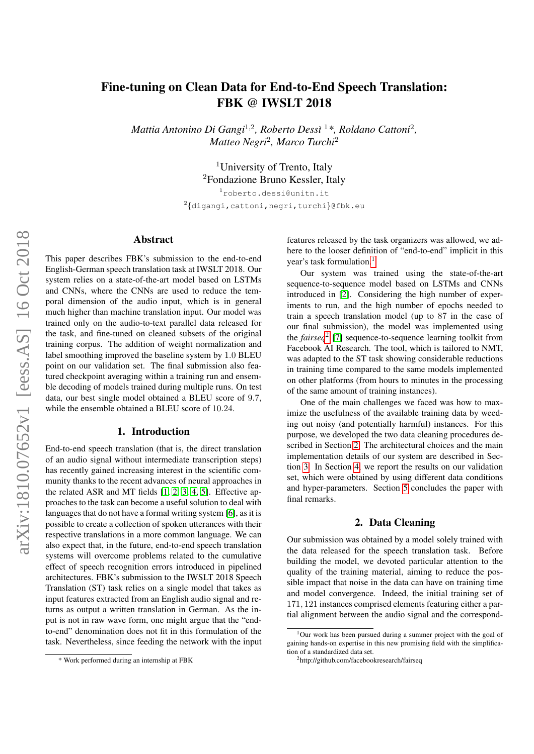# Fine-tuning on Clean Data for End-to-End Speech Translation: FBK @ IWSLT 2018

*Mattia Antonino Di Gangi*<sup>1</sup>,<sup>2</sup> *, Roberto Dess`ı* <sup>1</sup>*\*, Roldano Cattoni*<sup>2</sup> *, Matteo Negri*<sup>2</sup> *, Marco Turchi*<sup>2</sup>

> <sup>1</sup>University of Trento, Italy <sup>2</sup>Fondazione Bruno Kessler, Italy

<sup>1</sup>roberto.dessi@unitn.it  $^{2}$ {digangi,cattoni,negri,turchi}@fbk.eu

# Abstract

This paper describes FBK's submission to the end-to-end English-German speech translation task at IWSLT 2018. Our system relies on a state-of-the-art model based on LSTMs and CNNs, where the CNNs are used to reduce the temporal dimension of the audio input, which is in general much higher than machine translation input. Our model was trained only on the audio-to-text parallel data released for the task, and fine-tuned on cleaned subsets of the original training corpus. The addition of weight normalization and label smoothing improved the baseline system by 1.0 BLEU point on our validation set. The final submission also featured checkpoint averaging within a training run and ensemble decoding of models trained during multiple runs. On test data, our best single model obtained a BLEU score of 9.7, while the ensemble obtained a BLEU score of 10.24.

## 1. Introduction

End-to-end speech translation (that is, the direct translation of an audio signal without intermediate transcription steps) has recently gained increasing interest in the scientific community thanks to the recent advances of neural approaches in the related ASR and MT fields [\[1,](#page-4-0) [2,](#page-4-1) [3,](#page-4-2) [4,](#page-4-3) [5\]](#page-5-0). Effective approaches to the task can become a useful solution to deal with languages that do not have a formal writing system [\[6\]](#page-5-1), as it is possible to create a collection of spoken utterances with their respective translations in a more common language. We can also expect that, in the future, end-to-end speech translation systems will overcome problems related to the cumulative effect of speech recognition errors introduced in pipelined architectures. FBK's submission to the IWSLT 2018 Speech Translation (ST) task relies on a single model that takes as input features extracted from an English audio signal and returns as output a written translation in German. As the input is not in raw wave form, one might argue that the "endto-end" denomination does not fit in this formulation of the task. Nevertheless, since feeding the network with the input features released by the task organizers was allowed, we adhere to the looser definition of "end-to-end" implicit in this year's task formulation.<sup>[1](#page-0-0)</sup>

Our system was trained using the state-of-the-art sequence-to-sequence model based on LSTMs and CNNs introduced in [\[2\]](#page-4-1). Considering the high number of experiments to run, and the high number of epochs needed to train a speech translation model (up to 87 in the case of our final submission), the model was implemented using the *fairseq*[2](#page-0-1) [\[7\]](#page-5-2) sequence-to-sequence learning toolkit from Facebook AI Research. The tool, which is tailored to NMT, was adapted to the ST task showing considerable reductions in training time compared to the same models implemented on other platforms (from hours to minutes in the processing of the same amount of training instances).

One of the main challenges we faced was how to maximize the usefulness of the available training data by weeding out noisy (and potentially harmful) instances. For this purpose, we developed the two data cleaning procedures described in Section [2.](#page-0-2) The architectural choices and the main implementation details of our system are described in Section [3.](#page-1-0) In Section [4,](#page-2-0) we report the results on our validation set, which were obtained by using different data conditions and hyper-parameters. Section [5](#page-4-4) concludes the paper with final remarks.

# 2. Data Cleaning

<span id="page-0-2"></span>Our submission was obtained by a model solely trained with the data released for the speech translation task. Before building the model, we devoted particular attention to the quality of the training material, aiming to reduce the possible impact that noise in the data can have on training time and model convergence. Indeed, the initial training set of 171, 121 instances comprised elements featuring either a partial alignment between the audio signal and the correspond-

<sup>\*</sup> Work performed during an internship at FBK

<span id="page-0-0"></span><sup>1</sup>Our work has been pursued during a summer project with the goal of gaining hands-on expertise in this new promising field with the simplification of a standardized data set.

<span id="page-0-1"></span><sup>2</sup>http://github.com/facebookresearch/fairseq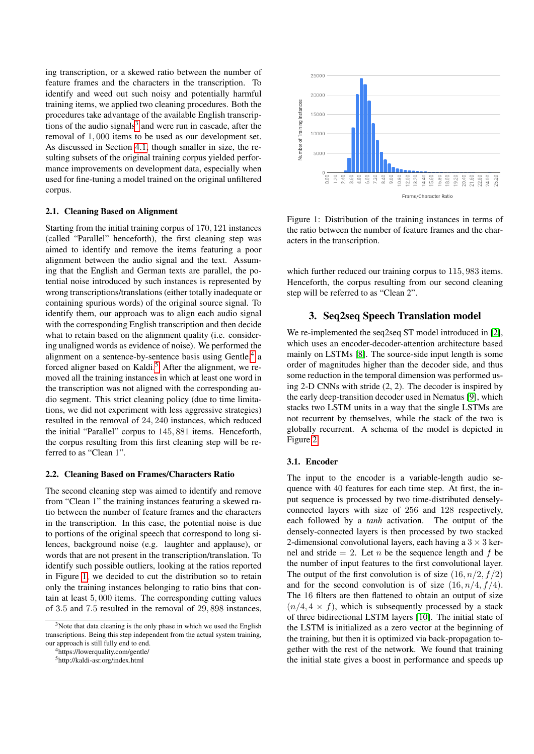ing transcription, or a skewed ratio between the number of feature frames and the characters in the transcription. To identify and weed out such noisy and potentially harmful training items, we applied two cleaning procedures. Both the procedures take advantage of the available English transcrip-tions of the audio signals<sup>[3](#page-1-1)</sup> and were run in cascade, after the removal of 1, 000 items to be used as our development set. As discussed in Section [4.1,](#page-3-0) though smaller in size, the resulting subsets of the original training corpus yielded performance improvements on development data, especially when used for fine-tuning a model trained on the original unfiltered corpus.

# 2.1. Cleaning Based on Alignment

Starting from the initial training corpus of 170, 121 instances (called "Parallel" henceforth), the first cleaning step was aimed to identify and remove the items featuring a poor alignment between the audio signal and the text. Assuming that the English and German texts are parallel, the potential noise introduced by such instances is represented by wrong transcriptions/translations (either totally inadequate or containing spurious words) of the original source signal. To identify them, our approach was to align each audio signal with the corresponding English transcription and then decide what to retain based on the alignment quality (i.e. considering unaligned words as evidence of noise). We performed the alignment on a sentence-by-sentence basis using Gentle,<sup>[4](#page-1-2)</sup> a forced aligner based on Kaldi.<sup>[5](#page-1-3)</sup> After the alignment, we removed all the training instances in which at least one word in the transcription was not aligned with the corresponding audio segment. This strict cleaning policy (due to time limitations, we did not experiment with less aggressive strategies) resulted in the removal of 24, 240 instances, which reduced the initial "Parallel" corpus to 145, 881 items. Henceforth, the corpus resulting from this first cleaning step will be referred to as "Clean 1".

#### 2.2. Cleaning Based on Frames/Characters Ratio

The second cleaning step was aimed to identify and remove from "Clean 1" the training instances featuring a skewed ratio between the number of feature frames and the characters in the transcription. In this case, the potential noise is due to portions of the original speech that correspond to long silences, background noise (e.g. laughter and applause), or words that are not present in the transcription/translation. To identify such possible outliers, looking at the ratios reported in Figure [1,](#page-1-4) we decided to cut the distribution so to retain only the training instances belonging to ratio bins that contain at least 5, 000 items. The corresponding cutting values of 3.5 and 7.5 resulted in the removal of 29, 898 instances,

<span id="page-1-2"></span><sup>4</sup>https://lowerquality.com/gentle/

<span id="page-1-4"></span>

Figure 1: Distribution of the training instances in terms of the ratio between the number of feature frames and the characters in the transcription.

which further reduced our training corpus to 115, 983 items. Henceforth, the corpus resulting from our second cleaning step will be referred to as "Clean 2".

## 3. Seq2seq Speech Translation model

<span id="page-1-0"></span>We re-implemented the seq2seq ST model introduced in [\[2\]](#page-4-1), which uses an encoder-decoder-attention architecture based mainly on LSTMs [\[8\]](#page-5-3). The source-side input length is some order of magnitudes higher than the decoder side, and thus some reduction in the temporal dimension was performed using 2-D CNNs with stride (2, 2). The decoder is inspired by the early deep-transition decoder used in Nematus [\[9\]](#page-5-4), which stacks two LSTM units in a way that the single LSTMs are not recurrent by themselves, while the stack of the two is globally recurrent. A schema of the model is depicted in Figure [2.](#page-2-1)

#### 3.1. Encoder

The input to the encoder is a variable-length audio sequence with 40 features for each time step. At first, the input sequence is processed by two time-distributed denselyconnected layers with size of 256 and 128 respectively, each followed by a *tanh* activation. The output of the densely-connected layers is then processed by two stacked 2-dimensional convolutional layers, each having a  $3 \times 3$  kernel and stride  $= 2$ . Let *n* be the sequence length and *f* be the number of input features to the first convolutional layer. The output of the first convolution is of size  $(16, n/2, f/2)$ and for the second convolution is of size  $(16, n/4, f/4)$ . The 16 filters are then flattened to obtain an output of size  $(n/4, 4 \times f)$ , which is subsequently processed by a stack of three bidirectional LSTM layers [\[10\]](#page-5-5). The initial state of the LSTM is initialized as a zero vector at the beginning of the training, but then it is optimized via back-propagation together with the rest of the network. We found that training the initial state gives a boost in performance and speeds up

<span id="page-1-1"></span> $3$ Note that data cleaning is the only phase in which we used the English transcriptions. Being this step independent from the actual system training, our approach is still fully end to end.

<span id="page-1-3"></span><sup>5</sup>http://kaldi-asr.org/index.html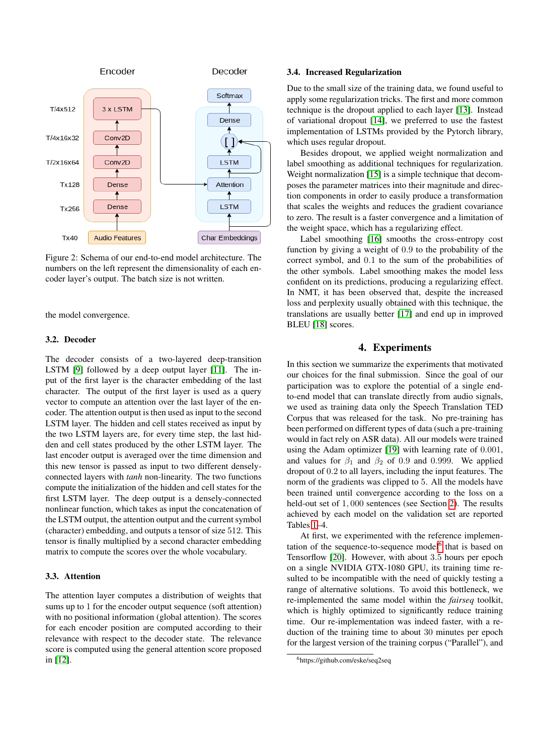<span id="page-2-1"></span>

Figure 2: Schema of our end-to-end model architecture. The numbers on the left represent the dimensionality of each encoder layer's output. The batch size is not written.

the model convergence.

#### 3.2. Decoder

The decoder consists of a two-layered deep-transition LSTM [\[9\]](#page-5-4) followed by a deep output layer [\[11\]](#page-5-6). The input of the first layer is the character embedding of the last character. The output of the first layer is used as a query vector to compute an attention over the last layer of the encoder. The attention output is then used as input to the second LSTM layer. The hidden and cell states received as input by the two LSTM layers are, for every time step, the last hidden and cell states produced by the other LSTM layer. The last encoder output is averaged over the time dimension and this new tensor is passed as input to two different denselyconnected layers with *tanh* non-linearity. The two functions compute the initialization of the hidden and cell states for the first LSTM layer. The deep output is a densely-connected nonlinear function, which takes as input the concatenation of the LSTM output, the attention output and the current symbol (character) embedding, and outputs a tensor of size 512. This tensor is finally multiplied by a second character embedding matrix to compute the scores over the whole vocabulary.

## 3.3. Attention

The attention layer computes a distribution of weights that sums up to 1 for the encoder output sequence (soft attention) with no positional information (global attention). The scores for each encoder position are computed according to their relevance with respect to the decoder state. The relevance score is computed using the general attention score proposed in [\[12\]](#page-5-7).

### 3.4. Increased Regularization

Due to the small size of the training data, we found useful to apply some regularization tricks. The first and more common technique is the dropout applied to each layer [\[13\]](#page-5-8). Instead of variational dropout [\[14\]](#page-5-9), we preferred to use the fastest implementation of LSTMs provided by the Pytorch library, which uses regular dropout.

Besides dropout, we applied weight normalization and label smoothing as additional techniques for regularization. Weight normalization [\[15\]](#page-5-10) is a simple technique that decomposes the parameter matrices into their magnitude and direction components in order to easily produce a transformation that scales the weights and reduces the gradient covariance to zero. The result is a faster convergence and a limitation of the weight space, which has a regularizing effect.

Label smoothing [\[16\]](#page-5-11) smooths the cross-entropy cost function by giving a weight of 0.9 to the probability of the correct symbol, and 0.1 to the sum of the probabilities of the other symbols. Label smoothing makes the model less confident on its predictions, producing a regularizing effect. In NMT, it has been observed that, despite the increased loss and perplexity usually obtained with this technique, the translations are usually better [\[17\]](#page-5-12) and end up in improved BLEU<sup>[\[18\]](#page-5-13)</sup> scores.

# 4. Experiments

<span id="page-2-0"></span>In this section we summarize the experiments that motivated our choices for the final submission. Since the goal of our participation was to explore the potential of a single endto-end model that can translate directly from audio signals, we used as training data only the Speech Translation TED Corpus that was released for the task. No pre-training has been performed on different types of data (such a pre-training would in fact rely on ASR data). All our models were trained using the Adam optimizer [\[19\]](#page-5-14) with learning rate of 0.001, and values for  $\beta_1$  and  $\beta_2$  of 0.9 and 0.999. We applied dropout of 0.2 to all layers, including the input features. The norm of the gradients was clipped to 5. All the models have been trained until convergence according to the loss on a held-out set of 1, 000 sentences (see Section [2\)](#page-0-2). The results achieved by each model on the validation set are reported Tables [1–](#page-3-1)4.

At first, we experimented with the reference implemen-tation of the sequence-to-sequence model<sup>[6](#page-2-2)</sup> that is based on Tensorflow [\[20\]](#page-5-15). However, with about 3.5 hours per epoch on a single NVIDIA GTX-1080 GPU, its training time resulted to be incompatible with the need of quickly testing a range of alternative solutions. To avoid this bottleneck, we re-implemented the same model within the *fairseq* toolkit, which is highly optimized to significantly reduce training time. Our re-implementation was indeed faster, with a reduction of the training time to about 30 minutes per epoch for the largest version of the training corpus ("Parallel"), and

<span id="page-2-2"></span><sup>6</sup>https://github.com/eske/seq2seq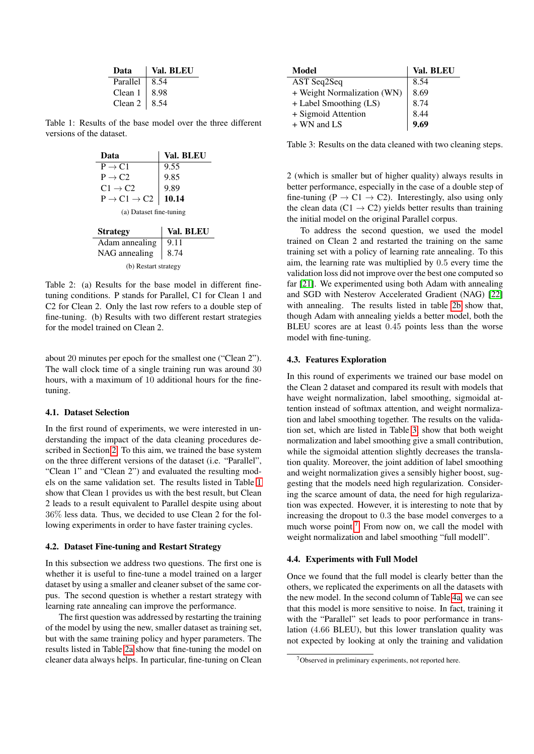| Data     | Val. BLEU |
|----------|-----------|
| Parallel | 8.54      |
| Clean 1  | 8.98      |
| Clean 2  | 8.54      |

<span id="page-3-2"></span><span id="page-3-1"></span>Table 1: Results of the base model over the three different versions of the dataset.

| Data                              | Val. BLEU |  |  |  |  |
|-----------------------------------|-----------|--|--|--|--|
| $P \rightarrow C1$                | 9.55      |  |  |  |  |
| $P \rightarrow C2$                | 9.85      |  |  |  |  |
| $C1 \rightarrow C2$               | 9.89      |  |  |  |  |
| $P \rightarrow C1 \rightarrow C2$ | 10.14     |  |  |  |  |
| (a) Dataset fine-tuning           |           |  |  |  |  |
| <b>Strategy</b>                   | Val. BLEU |  |  |  |  |
| Adam annealing                    | O         |  |  |  |  |

<span id="page-3-3"></span>

| Adam annealing $\vert$ 9.11 |  |  |  |  |  |
|-----------------------------|--|--|--|--|--|
| NAG annealing $\vert$ 8.74  |  |  |  |  |  |
| (b) Restart strategy        |  |  |  |  |  |

Table 2: (a) Results for the base model in different finetuning conditions. P stands for Parallel, C1 for Clean 1 and C2 for Clean 2. Only the last row refers to a double step of fine-tuning. (b) Results with two different restart strategies for the model trained on Clean 2.

about 20 minutes per epoch for the smallest one ("Clean 2"). The wall clock time of a single training run was around 30 hours, with a maximum of 10 additional hours for the finetuning.

## <span id="page-3-0"></span>4.1. Dataset Selection

In the first round of experiments, we were interested in understanding the impact of the data cleaning procedures described in Section [2.](#page-0-2) To this aim, we trained the base system on the three different versions of the dataset (i.e. "Parallel", "Clean 1" and "Clean 2") and evaluated the resulting models on the same validation set. The results listed in Table [1](#page-3-1) show that Clean 1 provides us with the best result, but Clean 2 leads to a result equivalent to Parallel despite using about 36% less data. Thus, we decided to use Clean 2 for the following experiments in order to have faster training cycles.

## 4.2. Dataset Fine-tuning and Restart Strategy

In this subsection we address two questions. The first one is whether it is useful to fine-tune a model trained on a larger dataset by using a smaller and cleaner subset of the same corpus. The second question is whether a restart strategy with learning rate annealing can improve the performance.

The first question was addressed by restarting the training of the model by using the new, smaller dataset as training set, but with the same training policy and hyper parameters. The results listed in Table [2a](#page-3-2) show that fine-tuning the model on cleaner data always helps. In particular, fine-tuning on Clean

<span id="page-3-4"></span>

| Model                       | Val. BLEU |
|-----------------------------|-----------|
| AST Seq2Seq                 | 8.54      |
| + Weight Normalization (WN) | 8.69      |
| + Label Smoothing (LS)      | 8.74      |
| + Sigmoid Attention         | 8.44      |
| $+$ WN and LS               | 9.69      |

Table 3: Results on the data cleaned with two cleaning steps.

2 (which is smaller but of higher quality) always results in better performance, especially in the case of a double step of fine-tuning ( $P \rightarrow C1 \rightarrow C2$ ). Interestingly, also using only the clean data (C1  $\rightarrow$  C2) yields better results than training the initial model on the original Parallel corpus.

To address the second question, we used the model trained on Clean 2 and restarted the training on the same training set with a policy of learning rate annealing. To this aim, the learning rate was multiplied by 0.5 every time the validation loss did not improve over the best one computed so far [\[21\]](#page-5-16). We experimented using both Adam with annealing and SGD with Nesterov Accelerated Gradient (NAG) [\[22\]](#page-5-17) with annealing. The results listed in table [2b](#page-3-3) show that, though Adam with annealing yields a better model, both the BLEU scores are at least 0.45 points less than the worse model with fine-tuning.

# 4.3. Features Exploration

In this round of experiments we trained our base model on the Clean 2 dataset and compared its result with models that have weight normalization, label smoothing, sigmoidal attention instead of softmax attention, and weight normalization and label smoothing together. The results on the validation set, which are listed in Table [3,](#page-3-4) show that both weight normalization and label smoothing give a small contribution, while the sigmoidal attention slightly decreases the translation quality. Moreover, the joint addition of label smoothing and weight normalization gives a sensibly higher boost, suggesting that the models need high regularization. Considering the scarce amount of data, the need for high regularization was expected. However, it is interesting to note that by increasing the dropout to 0.3 the base model converges to a much worse point.<sup>[7](#page-3-5)</sup> From now on, we call the model with weight normalization and label smoothing "full modell".

# 4.4. Experiments with Full Model

Once we found that the full model is clearly better than the others, we replicated the experiments on all the datasets with the new model. In the second column of Table [4a,](#page-4-5) we can see that this model is more sensitive to noise. In fact, training it with the "Parallel" set leads to poor performance in translation (4.66 BLEU), but this lower translation quality was not expected by looking at only the training and validation

<span id="page-3-5"></span> $7$ Observed in preliminary experiments, not reported here.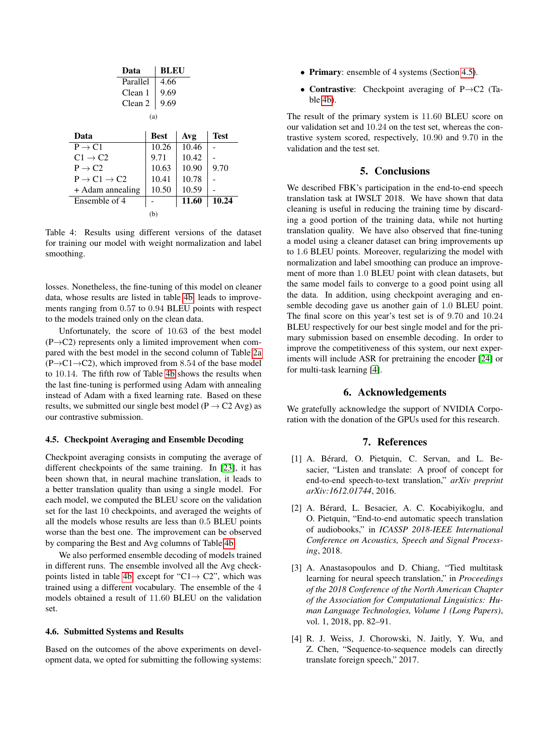<span id="page-4-6"></span><span id="page-4-5"></span>

|                                   | Data     |             | <b>BLEU</b> |       |             |  |  |
|-----------------------------------|----------|-------------|-------------|-------|-------------|--|--|
|                                   | Parallel |             | 4.66        |       |             |  |  |
|                                   | Clean 1  |             | 9.69        |       |             |  |  |
|                                   | Clean 2  |             | 9.69        |       |             |  |  |
| (a)                               |          |             |             |       |             |  |  |
| Data                              |          | <b>Best</b> |             | Avg   | <b>Test</b> |  |  |
| $P \rightarrow C1$                |          | 10.26       |             | 10.46 |             |  |  |
| $C1 \rightarrow C2$               |          | 9.71        |             | 10.42 |             |  |  |
| $P \rightarrow C2$                |          | 10.63       |             | 10.90 | 9.70        |  |  |
| $P \rightarrow C1 \rightarrow C2$ |          | 10.41       |             | 10.78 |             |  |  |
| + Adam annealing                  |          | 10.50       |             | 10.59 |             |  |  |
| Ensemble of 4                     |          |             |             | 11.60 | 10.24       |  |  |
|                                   |          | (b)         |             |       |             |  |  |

Table 4: Results using different versions of the dataset for training our model with weight normalization and label smoothing.

losses. Nonetheless, the fine-tuning of this model on cleaner data, whose results are listed in table [4b,](#page-4-6) leads to improvements ranging from 0.57 to 0.94 BLEU points with respect to the models trained only on the clean data.

Unfortunately, the score of 10.63 of the best model  $(P \rightarrow C2)$  represents only a limited improvement when compared with the best model in the second column of Table [2a](#page-3-2)  $(P \rightarrow C1 \rightarrow C2)$ , which improved from 8.54 of the base model to 10.14. The fifth row of Table [4b](#page-4-6) shows the results when the last fine-tuning is performed using Adam with annealing instead of Adam with a fixed learning rate. Based on these results, we submitted our single best model ( $P \rightarrow C2$  Avg) as our contrastive submission.

# <span id="page-4-7"></span>4.5. Checkpoint Averaging and Ensemble Decoding

Checkpoint averaging consists in computing the average of different checkpoints of the same training. In [\[23\]](#page-5-18), it has been shown that, in neural machine translation, it leads to a better translation quality than using a single model. For each model, we computed the BLEU score on the validation set for the last 10 checkpoints, and averaged the weights of all the models whose results are less than 0.5 BLEU points worse than the best one. The improvement can be observed by comparing the Best and Avg columns of Table [4b.](#page-4-6)

We also performed ensemble decoding of models trained in different runs. The ensemble involved all the Avg check-points listed in table [4b,](#page-4-6) except for "C1 $\rightarrow$  C2", which was trained using a different vocabulary. The ensemble of the 4 models obtained a result of 11.60 BLEU on the validation set.

# 4.6. Submitted Systems and Results

Based on the outcomes of the above experiments on development data, we opted for submitting the following systems:

- Primary: ensemble of 4 systems (Section [4.5\)](#page-4-7).
- Contrastive: Checkpoint averaging of P→C2 (Table [4b\)](#page-4-6).

The result of the primary system is 11.60 BLEU score on our validation set and 10.24 on the test set, whereas the contrastive system scored, respectively, 10.90 and 9.70 in the validation and the test set.

# 5. Conclusions

<span id="page-4-4"></span>We described FBK's participation in the end-to-end speech translation task at IWSLT 2018. We have shown that data cleaning is useful in reducing the training time by discarding a good portion of the training data, while not hurting translation quality. We have also observed that fine-tuning a model using a cleaner dataset can bring improvements up to 1.6 BLEU points. Moreover, regularizing the model with normalization and label smoothing can produce an improvement of more than 1.0 BLEU point with clean datasets, but the same model fails to converge to a good point using all the data. In addition, using checkpoint averaging and ensemble decoding gave us another gain of 1.0 BLEU point. The final score on this year's test set is of 9.70 and 10.24 BLEU respectively for our best single model and for the primary submission based on ensemble decoding. In order to improve the competitiveness of this system, our next experiments will include ASR for pretraining the encoder [\[24\]](#page-5-19) or for multi-task learning [\[4\]](#page-4-3).

# 6. Acknowledgements

We gratefully acknowledge the support of NVIDIA Corporation with the donation of the GPUs used for this research.

#### 7. References

- <span id="page-4-0"></span>[1] A. Bérard, O. Pietquin, C. Servan, and L. Besacier, "Listen and translate: A proof of concept for end-to-end speech-to-text translation," *arXiv preprint arXiv:1612.01744*, 2016.
- <span id="page-4-1"></span>[2] A. Berard, L. Besacier, A. C. Kocabiyikoglu, and ´ O. Pietquin, "End-to-end automatic speech translation of audiobooks," in *ICASSP 2018-IEEE International Conference on Acoustics, Speech and Signal Processing*, 2018.
- <span id="page-4-2"></span>[3] A. Anastasopoulos and D. Chiang, "Tied multitask learning for neural speech translation," in *Proceedings of the 2018 Conference of the North American Chapter of the Association for Computational Linguistics: Human Language Technologies, Volume 1 (Long Papers)*, vol. 1, 2018, pp. 82–91.
- <span id="page-4-3"></span>[4] R. J. Weiss, J. Chorowski, N. Jaitly, Y. Wu, and Z. Chen, "Sequence-to-sequence models can directly translate foreign speech," 2017.